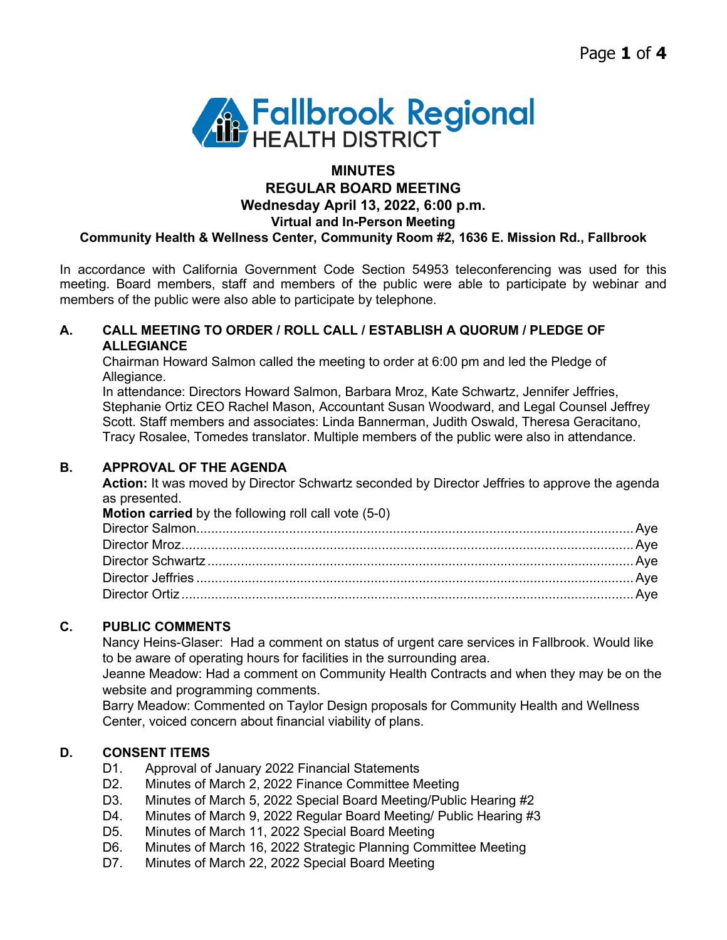Page **1** of **4**



## **MINUTES REGULAR BOARD MEETING Wednesday April 13, 2022, 6:00 p.m. Virtual and In-Person Meeting Community Health & Wellness Center, Community Room #2, 1636 E. Mission Rd., Fallbrook**

In accordance with California Government Code Section 54953 teleconferencing was used for this meeting. Board members, staff and members of the public were able to participate by webinar and members of the public were also able to participate by telephone.

## **A. CALL MEETING TO ORDER / ROLL CALL / ESTABLISH A QUORUM / PLEDGE OF ALLEGIANCE**

Chairman Howard Salmon called the meeting to order at 6:00 pm and led the Pledge of Allegiance.

In attendance: Directors Howard Salmon, Barbara Mroz, Kate Schwartz, Jennifer Jeffries, Stephanie Ortiz CEO Rachel Mason, Accountant Susan Woodward, and Legal Counsel Jeffrey Scott. Staff members and associates: Linda Bannerman, Judith Oswald, Theresa Geracitano, Tracy Rosalee, Tomedes translator. Multiple members of the public were also in attendance.

## **B. APPROVAL OF THE AGENDA**

Action: It was moved by Director Schwartz seconded by Director Jeffries to approve the agenda as presented.

| <b>Motion carried</b> by the following roll call vote (5-0) |  |
|-------------------------------------------------------------|--|
|                                                             |  |
|                                                             |  |
|                                                             |  |
|                                                             |  |
|                                                             |  |

# **C. PUBLIC COMMENTS**

Nancy Heins-Glaser: Had a comment on status of urgent care services in Fallbrook. Would like to be aware of operating hours for facilities in the surrounding area.

Jeanne Meadow: Had a comment on Community Health Contracts and when they may be on the website and programming comments.

Barry Meadow: Commented on Taylor Design proposals for Community Health and Wellness Center, voiced concern about financial viability of plans.

# **D. CONSENT ITEMS**

- D1. Approval of January 2022 Financial Statements
- D2. Minutes of March 2, 2022 Finance Committee Meeting
- D3. Minutes of March 5, 2022 Special Board Meeting/Public Hearing #2
- D4. Minutes of March 9, 2022 Regular Board Meeting/ Public Hearing #3
- D5. Minutes of March 11, 2022 Special Board Meeting
- D6. Minutes of March 16, 2022 Strategic Planning Committee Meeting
- D7. Minutes of March 22, 2022 Special Board Meeting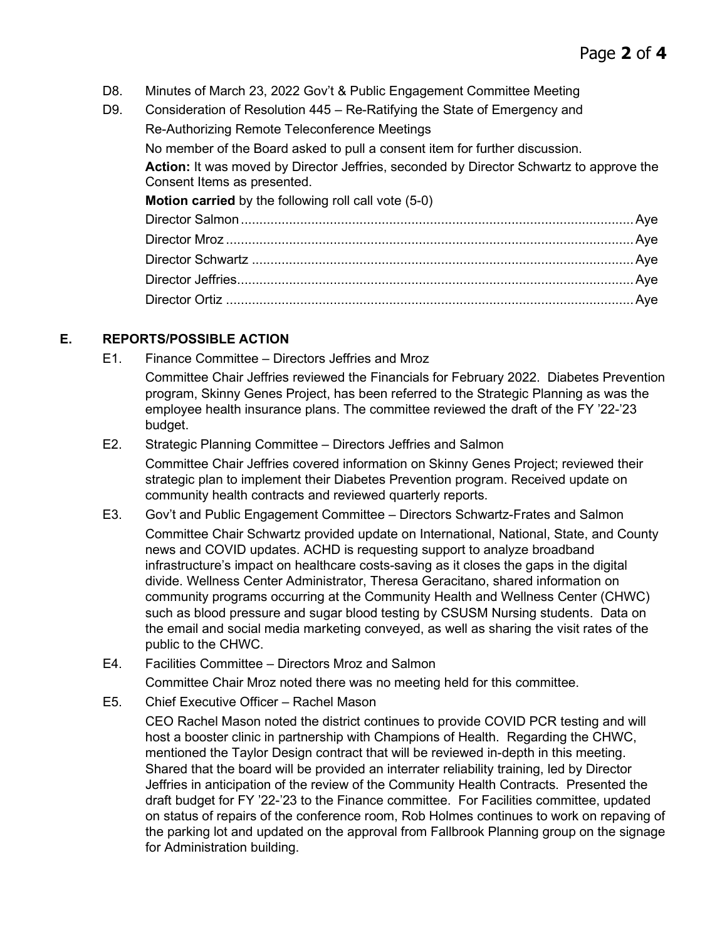- D8. Minutes of March 23, 2022 Gov't & Public Engagement Committee Meeting
- D9. Consideration of Resolution 445 Re-Ratifying the State of Emergency and Re-Authorizing Remote Teleconference Meetings No member of the Board asked to pull a consent item for further discussion. **Action:** It was moved by Director Jeffries, seconded by Director Schwartz to approve the Consent Items as presented. **Motion carried** by the following roll call vote (5-0) Director Salmon..........................................................................................................Aye Director Mroz ..............................................................................................................Aye Director Schwartz .......................................................................................................Aye Director Jeffries...........................................................................................................Aye Director Ortiz ..............................................................................................................Aye

# **E. REPORTS/POSSIBLE ACTION**

- E1. Finance Committee Directors Jeffries and Mroz
	- Committee Chair Jeffries reviewed the Financials for February 2022. Diabetes Prevention program, Skinny Genes Project, has been referred to the Strategic Planning as was the employee health insurance plans. The committee reviewed the draft of the FY '22-'23 budget.

## E2. Strategic Planning Committee – Directors Jeffries and Salmon

Committee Chair Jeffries covered information on Skinny Genes Project; reviewed their strategic plan to implement their Diabetes Prevention program. Received update on community health contracts and reviewed quarterly reports.

E3. Gov't and Public Engagement Committee – Directors Schwartz-Frates and Salmon

Committee Chair Schwartz provided update on International, National, State, and County news and COVID updates. ACHD is requesting support to analyze broadband infrastructure's impact on healthcare costs-saving as it closes the gaps in the digital divide. Wellness Center Administrator, Theresa Geracitano, shared information on community programs occurring at the Community Health and Wellness Center (CHWC) such as blood pressure and sugar blood testing by CSUSM Nursing students. Data on the email and social media marketing conveyed, as well as sharing the visit rates of the public to the CHWC.

- E4. Facilities Committee Directors Mroz and Salmon
- Committee Chair Mroz noted there was no meeting held for this committee.
- E5. Chief Executive Officer Rachel Mason

CEO Rachel Mason noted the district continues to provide COVID PCR testing and will host a booster clinic in partnership with Champions of Health. Regarding the CHWC, mentioned the Taylor Design contract that will be reviewed in-depth in this meeting. Shared that the board will be provided an interrater reliability training, led by Director Jeffries in anticipation of the review of the Community Health Contracts. Presented the draft budget for FY '22-'23 to the Finance committee. For Facilities committee, updated on status of repairs of the conference room, Rob Holmes continues to work on repaving of the parking lot and updated on the approval from Fallbrook Planning group on the signage for Administration building.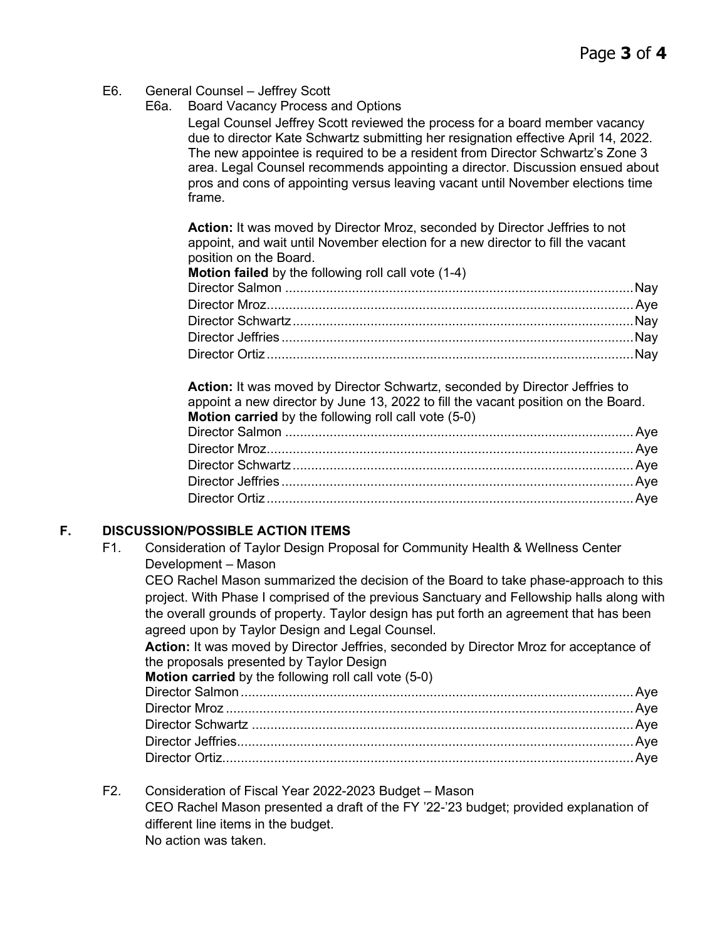- E6. General Counsel Jeffrey Scott
	- E6a. Board Vacancy Process and Options

Legal Counsel Jeffrey Scott reviewed the process for a board member vacancy due to director Kate Schwartz submitting her resignation effective April 14, 2022. The new appointee is required to be a resident from Director Schwartz's Zone 3 area. Legal Counsel recommends appointing a director. Discussion ensued about pros and cons of appointing versus leaving vacant until November elections time frame.

**Action:** It was moved by Director Mroz, seconded by Director Jeffries to not appoint, and wait until November election for a new director to fill the vacant position on the Board.

#### **Motion failed** by the following roll call vote (1-4)

**Action:** It was moved by Director Schwartz, seconded by Director Jeffries to appoint a new director by June 13, 2022 to fill the vacant position on the Board. **Motion carried** by the following roll call vote (5-0) Director Salmon ..............................................................................................Aye Director Mroz...................................................................................................Aye Director Schwartz............................................................................................Aye Director Jeffries ...............................................................................................Aye Director Ortiz...................................................................................................Aye

# **F. DISCUSSION/POSSIBLE ACTION ITEMS**

F1. Consideration of Taylor Design Proposal for Community Health & Wellness Center Development – Mason

CEO Rachel Mason summarized the decision of the Board to take phase-approach to this project. With Phase I comprised of the previous Sanctuary and Fellowship halls along with the overall grounds of property. Taylor design has put forth an agreement that has been agreed upon by Taylor Design and Legal Counsel.

Action: It was moved by Director Jeffries, seconded by Director Mroz for acceptance of the proposals presented by Taylor Design

**Motion carried** by the following roll call vote (5-0)

F2. Consideration of Fiscal Year 2022-2023 Budget – Mason CEO Rachel Mason presented a draft of the FY '22-'23 budget; provided explanation of different line items in the budget. No action was taken.